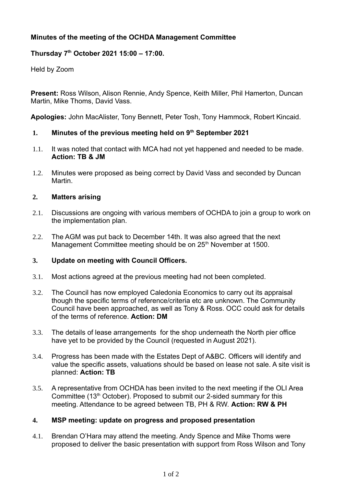# **Minutes of the meeting of the OCHDA Management Committee**

## **Thursday 7th October 2021 15:00 – 17:00.**

Held by Zoom

**Present:** Ross Wilson, Alison Rennie, Andy Spence, Keith Miller, Phil Hamerton, Duncan Martin, Mike Thoms, David Vass.

**Apologies:** John MacAlister, Tony Bennett, Peter Tosh, Tony Hammock, Robert Kincaid.

## **1. Minutes of the previous meeting held on 9th September 2021**

- 1.1. It was noted that contact with MCA had not yet happened and needed to be made. **Action: TB & JM**
- 1.2. Minutes were proposed as being correct by David Vass and seconded by Duncan Martin.

## **2. Matters arising**

- 2.1. Discussions are ongoing with various members of OCHDA to join a group to work on the implementation plan.
- 2.2. The AGM was put back to December 14th. It was also agreed that the next Management Committee meeting should be on 25<sup>th</sup> November at 1500.

## **3. Update on meeting with Council Officers.**

- 3.1. Most actions agreed at the previous meeting had not been completed.
- 3.2. The Council has now employed Caledonia Economics to carry out its appraisal though the specific terms of reference/criteria etc are unknown. The Community Council have been approached, as well as Tony & Ross. OCC could ask for details of the terms of reference. **Action: DM**
- 3.3. The details of lease arrangements for the shop underneath the North pier office have yet to be provided by the Council (requested in August 2021).
- 3.4. Progress has been made with the Estates Dept of A&BC. Officers will identify and value the specific assets, valuations should be based on lease not sale. A site visit is planned: **Action: TB**
- 3.5. A representative from OCHDA has been invited to the next meeting if the OLI Area Committee  $(13<sup>th</sup> October)$ . Proposed to submit our 2-sided summary for this meeting. Attendance to be agreed between TB, PH & RW. **Action: RW & PH**

## **4. MSP meeting: update on progress and proposed presentation**

 4.1. Brendan O'Hara may attend the meeting. Andy Spence and Mike Thoms were proposed to deliver the basic presentation with support from Ross Wilson and Tony